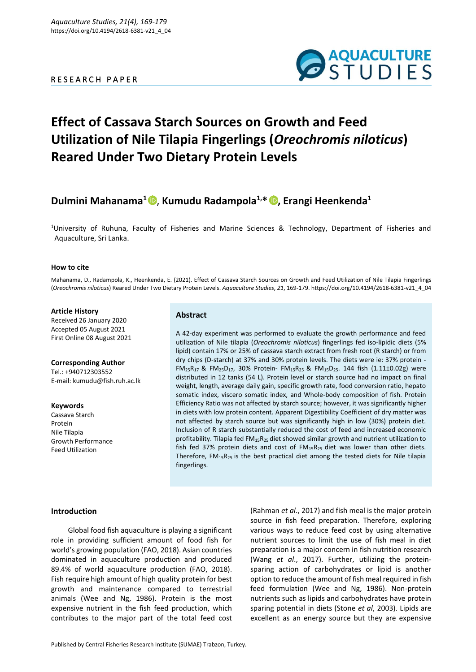# R E S E A R C H P A P E R



# **Effect of Cassava Starch Sources on Growth and Feed Utilization of Nile Tilapia Fingerlings (***Oreochromis niloticus***) Reared Under Two Dietary Protein Levels**

# **Dulmini Mahanama<sup>1</sup>** , **Kumudu Radampola1,\* [,](https://orcid.org/0000-0003-0292-4576) Erangi Heenkenda<sup>1</sup>**

<sup>1</sup>University of Ruhuna, Faculty of Fisheries and Marine Sciences & Technology, Department of Fisheries and Aquaculture, Sri Lanka.

# **How to cite**

Mahanama, D., Radampola, K., Heenkenda, E. (2021). Effect of Cassava Starch Sources on Growth and Feed Utilization of Nile Tilapia Fingerlings (*Oreochromis niloticus*) Reared Under Two Dietary Protein Levels. *Aquaculture Studies*, *21*, 169-179. https://doi.org/10.4194/2618-6381-v21\_4\_04

## **Article History**

Received 26 January 2020 Accepted 05 August 2021 First Online 08 August 2021

#### **Corresponding Author**

Tel.: +940712303552 E-mail: kumudu@fish.ruh.ac.lk

#### **Keywords**

Cassava Starch Protein Nile Tilapia Growth Performance Feed Utilization

# **Abstract**

A 42-day experiment was performed to evaluate the growth performance and feed utilization of Nile tilapia (*Oreochromis niloticus*) fingerlings fed iso-lipidic diets (5% lipid) contain 17% or 25% of cassava starch extract from fresh root (R starch) or from dry chips (D-starch) at 37% and 30% protein levels. The diets were ie: 37% protein -  $FM_{25}R_{17}$  &  $FM_{25}D_{17}$ , 30% Protein-  $FM_{15}R_{25}$  &  $FM_{15}D_{25}$ . 144 fish (1.11±0.02g) were distributed in 12 tanks (54 L). Protein level or starch source had no impact on final weight, length, average daily gain, specific growth rate, food conversion ratio, hepato somatic index, viscero somatic index, and Whole-body composition of fish. Protein Efficiency Ratio was not affected by starch source; however, it was significantly higher in diets with low protein content. Apparent Digestibility Coefficient of dry matter was not affected by starch source but was significantly high in low (30%) protein diet. Inclusion of R starch substantially reduced the cost of feed and increased economic profitability. Tilapia fed  $FM_{15}R_{25}$  diet showed similar growth and nutrient utilization to fish fed 37% protein diets and cost of  $FM_{15}R_{25}$  diet was lower than other diets. Therefore,  $FM_{15}R_{25}$  is the best practical diet among the tested diets for Nile tilapia fingerlings.

# **Introduction**

Global food fish aquaculture is playing a significant role in providing sufficient amount of food fish for world's growing population (FAO, 2018). Asian countries dominated in aquaculture production and produced 89.4% of world aquaculture production (FAO, 2018). Fish require high amount of high quality protein for best growth and maintenance compared to terrestrial animals (Wee and Ng, 1986). Protein is the most expensive nutrient in the fish feed production, which contributes to the major part of the total feed cost

(Rahman *et al*., 2017) and fish meal is the major protein source in fish feed preparation. Therefore, exploring various ways to reduce feed cost by using alternative nutrient sources to limit the use of fish meal in diet preparation is a major concern in fish nutrition research (Wang *et al*., 2017). Further, utilizing the proteinsparing action of carbohydrates or lipid is another option to reduce the amount of fish meal required in fish feed formulation (Wee and Ng, 1986). Non-protein nutrients such as lipids and carbohydrates have protein sparing potential in diets (Stone *et al*, 2003). Lipids are excellent as an energy source but they are expensive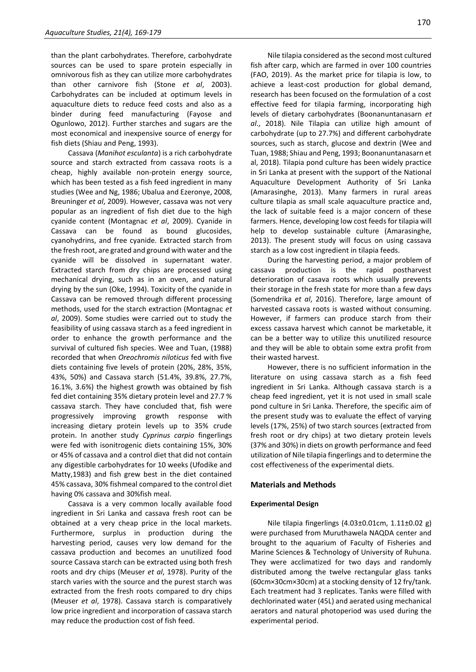than the plant carbohydrates. Therefore, carbohydrate sources can be used to spare protein especially in omnivorous fish as they can utilize more carbohydrates than other carnivore fish (Stone *et al*, 2003). Carbohydrates can be included at optimum levels in aquaculture diets to reduce feed costs and also as a binder during feed manufacturing (Fayose and Ogunlowo, 2012). Further starches and sugars are the most economical and inexpensive source of energy for fish diets (Shiau and Peng, 1993).

Cassava (*Manihot esculanta*) is a rich carbohydrate source and starch extracted from cassava roots is a cheap, highly available non-protein energy source, which has been tested as a fish feed ingredient in many studies (Wee and Ng, 1986; Ubalua and Ezeronye, 2008, Breuninger *et al*, 2009). However, cassava was not very popular as an ingredient of fish diet due to the high cyanide content (Montagnac *et al*, 2009). Cyanide in Cassava can be found as bound glucosides, cyanohydrins, and free cyanide. Extracted starch from the fresh root, are grated and ground with water and the cyanide will be dissolved in supernatant water. Extracted starch from dry chips are processed using mechanical drying, such as in an oven, and natural drying by the sun (Oke, 1994). Toxicity of the cyanide in Cassava can be removed through different processing methods, used for the starch extraction (Montagnac *et al*, 2009). Some studies were carried out to study the feasibility of using cassava starch as a feed ingredient in order to enhance the growth performance and the survival of cultured fish species. Wee and Tuan, (1988) recorded that when *Oreochromis niloticus* fed with five diets containing five levels of protein (20%, 28%, 35%, 43%, 50%) and Cassava starch (51.4%, 39.8%, 27.7%, 16.1%, 3.6%) the highest growth was obtained by fish fed diet containing 35% dietary protein level and 27.7 % cassava starch. They have concluded that, fish were progressively improving growth response with increasing dietary protein levels up to 35% crude protein. In another study *Cyprinus carpio* fingerlings were fed with isonitrogenic diets containing 15%, 30% or 45% of cassava and a control diet that did not contain any digestible carbohydrates for 10 weeks (Ufodike and Matty,1983) and fish grew best in the diet contained 45% cassava, 30% fishmeal compared to the control diet having 0% cassava and 30%fish meal.

Cassava is a very common locally available food ingredient in Sri Lanka and cassava fresh root can be obtained at a very cheap price in the local markets. Furthermore, surplus in production during the harvesting period, causes very low demand for the cassava production and becomes an unutilized food source Cassava starch can be extracted using both fresh roots and dry chips (Meuser *et al*, 1978). Purity of the starch varies with the source and the purest starch was extracted from the fresh roots compared to dry chips (Meuser *et al*, 1978). Cassava starch is comparatively low price ingredient and incorporation of cassava starch may reduce the production cost of fish feed.

Nile tilapia considered as the second most cultured fish after carp, which are farmed in over 100 countries (FAO, 2019). As the market price for tilapia is low, to achieve a least-cost production for global demand, research has been focused on the formulation of a cost effective feed for tilapia farming, incorporating high levels of dietary carbohydrates (Boonanuntanasarn *et al*., 2018). Nile Tilapia can utilize high amount of carbohydrate (up to 27.7%) and different carbohydrate sources, such as starch, glucose and dextrin (Wee and Tuan, 1988; Shiau and Peng, 1993; Boonanuntanasarn et al, 2018). Tilapia pond culture has been widely practice in Sri Lanka at present with the support of the National Aquaculture Development Authority of Sri Lanka (Amarasinghe, 2013). Many farmers in rural areas culture tilapia as small scale aquaculture practice and, the lack of suitable feed is a major concern of these farmers. Hence, developing low cost feeds for tilapia will help to develop sustainable culture (Amarasinghe, 2013). The present study will focus on using cassava starch as a low cost ingredient in tilapia feeds.

During the harvesting period, a major problem of cassava production is the rapid postharvest deterioration of casava roots which usually prevents their storage in the fresh state for more than a few days (Somendrika *et al*, 2016). Therefore, large amount of harvested cassava roots is wasted without consuming. However, if farmers can produce starch from their excess cassava harvest which cannot be marketable, it can be a better way to utilize this unutilized resource and they will be able to obtain some extra profit from their wasted harvest.

However, there is no sufficient information in the literature on using cassava starch as a fish feed ingredient in Sri Lanka. Although cassava starch is a cheap feed ingredient, yet it is not used in small scale pond culture in Sri Lanka. Therefore, the specific aim of the present study was to evaluate the effect of varying levels (17%, 25%) of two starch sources (extracted from fresh root or dry chips) at two dietary protein levels (37% and 30%) in diets on growth performance and feed utilization of Nile tilapia fingerlings and to determine the cost effectiveness of the experimental diets.

# **Materials and Methods**

# **Experimental Design**

Nile tilapia fingerlings (4.03±0.01cm, 1.11±0.02 g) were purchased from Muruthawela NAQDA center and brought to the aquarium of Faculty of Fisheries and Marine Sciences & Technology of University of Ruhuna. They were acclimatized for two days and randomly distributed among the twelve rectangular glass tanks (60cm×30cm×30cm) at a stocking density of 12 fry/tank. Each treatment had 3 replicates. Tanks were filled with dechlorinated water (45L) and aerated using mechanical aerators and natural photoperiod was used during the experimental period.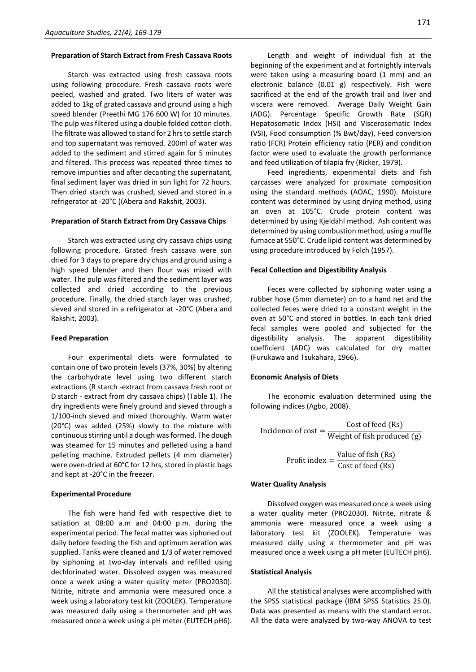# **Preparation of Starch Extract from Fresh Cassava Roots**

Starch was extracted using fresh cassava roots using following procedure. Fresh cassava roots were peeled, washed and grated. Two liters of water was added to 1kg of grated cassava and ground using a high speed blender (Preethi MG 176 600 W) for 10 minutes. The pulp was filtered using a double folded cotton cloth. The filtrate was allowed to stand for 2 hrs to settle starch and top supernatant was removed. 200ml of water was added to the sediment and stirred again for 5 minutes and filtered. This process was repeated three times to remove impurities and after decanting the supernatant, final sediment layer was dried in sun light for 72 hours. Then dried starch was crushed, sieved and stored in a refrigerator at -20°C ((Abera and Rakshit, 2003).

# **Preparation of Starch Extract from Dry Cassava Chips**

Starch was extracted using dry cassava chips using following procedure. Grated fresh cassava were sun dried for 3 days to prepare dry chips and ground using a high speed blender and then flour was mixed with water. The pulp was filtered and the sediment layer was collected and dried according to the previous procedure. Finally, the dried starch layer was crushed, sieved and stored in a refrigerator at -20°C (Abera and Rakshit, 2003).

#### **Feed Preparation**

Four experimental diets were formulated to contain one of two protein levels (37%, 30%) by altering the carbohydrate level using two different starch extractions (R starch -extract from cassava fresh root or D starch - extract from dry cassava chips) (Table 1). The dry ingredients were finely ground and sieved through a 1/100-inch sieved and mixed thoroughly. Warm water (20°C) was added (25%) slowly to the mixture with continuous stirring until a dough was formed. The dough was steamed for 15 minutes and pelleted using a hand pelleting machine. Extruded pellets (4 mm diameter) were oven-dried at 60°C for 12 hrs, stored in plastic bags and kept at -20°C in the freezer.

#### **Experimental Procedure**

The fish were hand fed with respective diet to satiation at 08:00 a.m and 04:00 p.m. during the experimental period. The fecal matter was siphoned out daily before feeding the fish and optimum aeration was supplied. Tanks were cleaned and 1/3 of water removed by siphoning at two-day intervals and refilled using dechlorinated water. Dissolved oxygen was measured once a week using a water quality meter (PRO2030). Nitrite, nitrate and ammonia were measured once a week using a laboratory test kit (ZOOLEK). Temperature was measured daily using a thermometer and pH was measured once a week using a pH meter (EUTECH pH6).

Length and weight of individual fish at the beginning of the experiment and at fortnightly intervals were taken using a measuring board (1 mm) and an electronic balance (0.01 g) respectively. Fish were sacrificed at the end of the growth trail and liver and viscera were removed. Average Daily Weight Gain (ADG). Percentage Specific Growth Rate (SGR) Hepatosomatic Index (HSI) and Viscerosomatic Index (VSI), Food consumption (% Bwt/day), Feed conversion ratio (FCR) Protein efficiency ratio (PER) and condition factor were used to evaluate the growth performance and feed utilization of tilapia fry (Ricker, 1979).

Feed ingredients, experimental diets and fish carcasses were analyzed for proximate composition using the standard methods (AOAC, 1990). Moisture content was determined by using drying method, using an oven at 105°C. Crude protein content was determined by using Kjeldahl method. Ash content was determined by using combustion method, using a muffle furnace at 550°C. Crude lipid content was determined by using procedure introduced by Folch (1957).

#### **Fecal Collection and Digestibility Analysis**

Feces were collected by siphoning water using a rubber hose (5mm diameter) on to a hand net and the collected feces were dried to a constant weight in the oven at 50°C and stored in bottles. In each tank dried fecal samples were pooled and subjected for the digestibility analysis. The apparent digestibility coefficient (ADC) was calculated for dry matter (Furukawa and Tsukahara, 1966).

#### **Economic Analysis of Diets**

The economic evaluation determined using the following indices (Agbo, 2008).

Incidence of cost =  $\frac{\text{Cost of feed (Rs)}}{\text{W} + \text{U (s)}}$ Weight of fish produced (g)

> Profit index =  $\frac{\text{Value of fish (Rs)}}{\text{Value of } \frac{\text{Value of } \text{Table}}{\text{Value of } \text{Value}}}$ Cost of feed (Rs)

# **Water Quality Analysis**

Dissolved oxygen was measured once a week using a water quality meter (PRO2030). Nitrite, nitrate & ammonia were measured once a week using a laboratory test kit (ZOOLEK). Temperature was measured daily using a thermometer and pH was measured once a week using a pH meter (EUTECH pH6).

#### **Statistical Analysis**

All the statistical analyses were accomplished with the SPSS statistical package (IBM SPSS Statistics 25.0). Data was presented as means with the standard error. All the data were analyzed by two-way ANOVA to test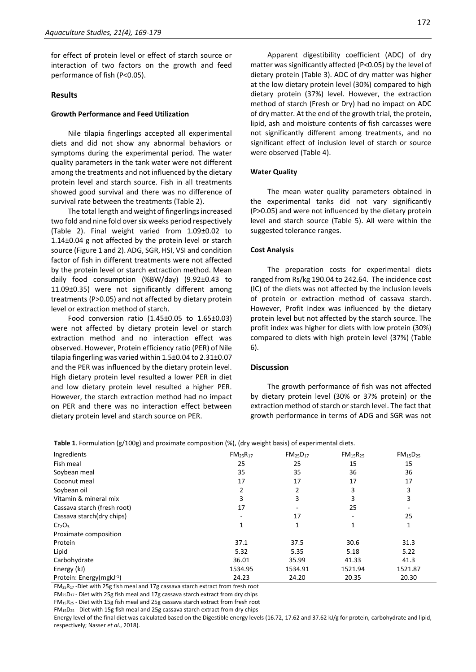for effect of protein level or effect of starch source or interaction of two factors on the growth and feed performance of fish (P<0.05).

# **Results**

#### **Growth Performance and Feed Utilization**

Nile tilapia fingerlings accepted all experimental diets and did not show any abnormal behaviors or symptoms during the experimental period. The water quality parameters in the tank water were not different among the treatments and not influenced by the dietary protein level and starch source. Fish in all treatments showed good survival and there was no difference of survival rate between the treatments (Table 2).

The total length and weight of fingerlings increased two fold and nine fold over six weeks period respectively (Table 2). Final weight varied from 1.09±0.02 to 1.14±0.04 g not affected by the protein level or starch source (Figure 1 and 2). ADG, SGR, HSI, VSI and condition factor of fish in different treatments were not affected by the protein level or starch extraction method. Mean daily food consumption (%BW/day) (9.92±0.43 to 11.09±0.35) were not significantly different among treatments (P>0.05) and not affected by dietary protein level or extraction method of starch.

Food conversion ratio (1.45±0.05 to 1.65±0.03) were not affected by dietary protein level or starch extraction method and no interaction effect was observed. However, Protein efficiency ratio (PER) of Nile tilapia fingerling was varied within 1.5±0.04 to 2.31±0.07 and the PER was influenced by the dietary protein level. High dietary protein level resulted a lower PER in diet and low dietary protein level resulted a higher PER. However, the starch extraction method had no impact on PER and there was no interaction effect between dietary protein level and starch source on PER.

Apparent digestibility coefficient (ADC) of dry matter was significantly affected (P<0.05) by the level of dietary protein (Table 3). ADC of dry matter was higher at the low dietary protein level (30%) compared to high dietary protein (37%) level. However, the extraction method of starch (Fresh or Dry) had no impact on ADC of dry matter. At the end of the growth trial, the protein, lipid, ash and moisture contents of fish carcasses were not significantly different among treatments, and no significant effect of inclusion level of starch or source were observed (Table 4).

## **Water Quality**

The mean water quality parameters obtained in the experimental tanks did not vary significantly (P>0.05) and were not influenced by the dietary protein level and starch source (Table 5). All were within the suggested tolerance ranges.

#### **Cost Analysis**

The preparation costs for experimental diets ranged from Rs/kg 190.04 to 242.64. The incidence cost (IC) of the diets was not affected by the inclusion levels of protein or extraction method of cassava starch. However, Profit index was influenced by the dietary protein level but not affected by the starch source. The profit index was higher for diets with low protein (30%) compared to diets with high protein level (37%) (Table 6).

# **Discussion**

The growth performance of fish was not affected by dietary protein level (30% or 37% protein) or the extraction method of starch or starch level. The fact that growth performance in terms of ADG and SGR was not

| Ingredients                 | $FM_{25}R_{17}$ | $FM_{25}D_{17}$ | $FM_{15}R_{25}$          | FM <sub>15</sub> D <sub>25</sub> |
|-----------------------------|-----------------|-----------------|--------------------------|----------------------------------|
| Fish meal                   | 25              | 25              | 15                       | 15                               |
| Soybean meal                | 35              | 35              | 36                       | 36                               |
| Coconut meal                | 17              | 17              | 17                       | 17                               |
| Soybean oil                 | 2               | 2               | 3                        | 3                                |
| Vitamin & mineral mix       | 3               | 3               | 3                        | 3                                |
| Cassava starch (fresh root) | 17              |                 | 25                       |                                  |
| Cassava starch(dry chips)   |                 | 17              | $\overline{\phantom{a}}$ | 25                               |
| $Cr_2O_3$                   | 1               | 1               | 1                        | 1                                |
| Proximate composition       |                 |                 |                          |                                  |
| Protein                     | 37.1            | 37.5            | 30.6                     | 31.3                             |
| Lipid                       | 5.32            | 5.35            | 5.18                     | 5.22                             |
| Carbohydrate                | 36.01           | 35.99           | 41.33                    | 41.3                             |
| Energy (kJ)                 | 1534.95         | 1534.91         | 1521.94                  | 1521.87                          |
| Protein: Energy(mgkJ-1)     | 24.23           | 24.20           | 20.35                    | 20.30                            |

**Table 1**. Formulation (g/100g) and proximate composition (%), (dry weight basis) of experimental diets.

FM25R<sup>17</sup> -Diet with 25g fish meal and 17g cassava starch extract from fresh root

FM25D17 - Diet with 25g fish meal and 17g cassava starch extract from dry chips

FM15R<sup>25</sup> - Diet with 15g fish meal and 25g cassava starch extract from fresh root

FM15D<sup>25</sup> - Diet with 15g fish meal and 25g cassava starch extract from dry chips

Energy level of the final diet was calculated based on the Digestible energy levels (16.72, 17.62 and 37.62 kJ/g for protein, carbohydrate and lipid, respectively; Nasser *et al*., 2018).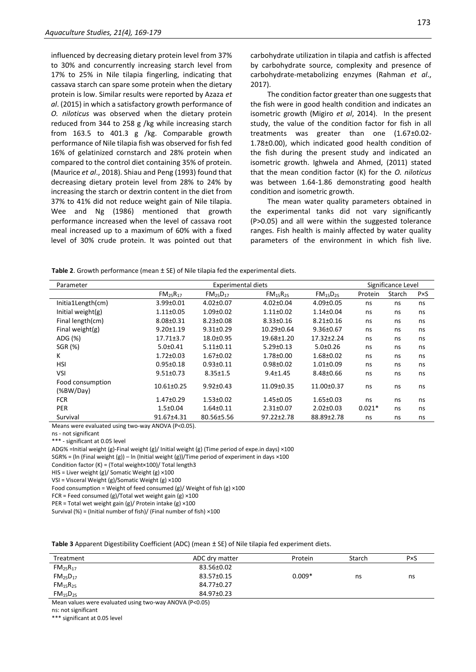influenced by decreasing dietary protein level from 37% to 30% and concurrently increasing starch level from 17% to 25% in Nile tilapia fingerling, indicating that cassava starch can spare some protein when the dietary protein is low. Similar results were reported by Azaza *et al*. (2015) in which a satisfactory growth performance of *O. niloticus* was observed when the dietary protein reduced from 344 to 258 g /kg while increasing starch from 163.5 to 401.3 g /kg. Comparable growth performance of Nile tilapia fish was observed for fish fed 16% of gelatinized cornstarch and 28% protein when compared to the control diet containing 35% of protein. (Maurice *et al*., 2018). Shiau and Peng (1993) found that decreasing dietary protein level from 28% to 24% by increasing the starch or dextrin content in the diet from 37% to 41% did not reduce weight gain of Nile tilapia. Wee and Ng (1986) mentioned that growth performance increased when the level of cassava root meal increased up to a maximum of 60% with a fixed level of 30% crude protein. It was pointed out that

carbohydrate utilization in tilapia and catfish is affected by carbohydrate source, complexity and presence of carbohydrate-metabolizing enzymes (Rahman *et al*., 2017).

The condition factor greater than one suggests that the fish were in good health condition and indicates an isometric growth (Migiro *et al*, 2014). In the present study, the value of the condition factor for fish in all treatments was greater than one (1.67±0.02- 1.78±0.00), which indicated good health condition of the fish during the present study and indicated an isometric growth. Ighwela and Ahmed, (2011) stated that the mean condition factor (K) for the *O. niloticus* was between 1.64-1.86 demonstrating good health condition and isometric growth.

The mean water quality parameters obtained in the experimental tanks did not vary significantly (P>0.05) and all were within the suggested tolerance ranges. Fish health is mainly affected by water quality parameters of the environment in which fish live.

**Table 2**. Growth performance (mean ± SE) of Nile tilapia fed the experimental diets.

| Parameter                     | <b>Experimental diets</b>        |                                  |                                  |                                  |          | Significance Level |             |  |  |
|-------------------------------|----------------------------------|----------------------------------|----------------------------------|----------------------------------|----------|--------------------|-------------|--|--|
|                               | FM <sub>25</sub> R <sub>17</sub> | FM <sub>25</sub> D <sub>17</sub> | FM <sub>15</sub> R <sub>25</sub> | FM <sub>15</sub> D <sub>25</sub> | Protein  | Starch             | $P\times S$ |  |  |
| Initia1Length(cm)             | 3.99±0.01                        | $4.02 \pm 0.07$                  | 4.02±0.04                        | 4.09±0.05                        | ns       | ns                 | ns          |  |  |
| Initial weight $(g)$          | $1.11 \pm 0.05$                  | $1.09 \pm 0.02$                  | $1.11 \pm 0.02$                  | $1.14 \pm 0.04$                  | ns       | ns                 | ns          |  |  |
| Final length(cm)              | 8.08±0.31                        | $8.23 \pm 0.08$                  | $8.33 \pm 0.16$                  | $8.21 \pm 0.16$                  | ns       | ns                 | ns          |  |  |
| Final weight $(g)$            | $9.20 \pm 1.19$                  | $9.31 \pm 0.29$                  | 10.29±0.64                       | $9.36 \pm 0.67$                  | ns       | ns                 | ns          |  |  |
| ADG (%)                       | $17.71 \pm 3.7$                  | 18.0±0.95                        | 19.68±1.20                       | 17.32±2.24                       | ns       | ns                 | ns          |  |  |
| SGR (%)                       | $5.0 \pm 0.41$                   | $5.11 \pm 0.11$                  | $5.29 \pm 0.13$                  | $5.0+0.26$                       | ns       | ns                 | ns          |  |  |
| ĸ                             | $1.72 \pm 0.03$                  | $1.67 \pm 0.02$                  | 1.78±0.00                        | 1.68±0.02                        | ns       | ns                 | ns          |  |  |
| <b>HSI</b>                    | $0.95 \pm 0.18$                  | $0.93 + 0.11$                    | $0.98 \pm 0.02$                  | $1.01 \pm 0.09$                  | ns       | ns                 | ns          |  |  |
| VSI                           | $9.51 \pm 0.73$                  | $8.35 \pm 1.5$                   | $9.4 \pm 1.45$                   | 8.48±0.66                        | ns       | ns                 | ns          |  |  |
| Food consumption<br>(%BW/Day) | 10.61±0.25                       | $9.92 \pm 0.43$                  | 11.09±0.35                       | 11.00±0.37                       | ns       | ns                 | ns          |  |  |
| <b>FCR</b>                    | 1.47±0.29                        | $1.53 \pm 0.02$                  | 1.45±0.05                        | $1.65 \pm 0.03$                  | ns       | ns                 | ns          |  |  |
| <b>PER</b>                    | $1.5 \pm 0.04$                   | $1.64 \pm 0.11$                  | $2.31 \pm 0.07$                  | $2.02 \pm 0.03$                  | $0.021*$ | ns                 | ns          |  |  |
| Survival                      | 91.67±4.31                       | 80.56±5.56                       | $97.22 \pm 2.78$                 | 88.89±2.78                       | ns       | ns                 | ns          |  |  |

Means were evaluated using two-way ANOVA (P<0.05).

ns - not significant

\*\*\* - significant at 0.05 level

ADG% =Initial weight (g)-Final weight (g)/ Initial weight (g) (Time period of expe.in days) ×100

SGR% = (In (Final weight (g)) – In (Initial weight (g))/Time period of experiment in days  $\times$ 100

Condition factor (K) = (Total weight×100)/ Total length3

HIS = Liver weight (g)/ Somatic Weight (g) ×100

VSI = Visceral Weight (g)/Somatic Weight (g) ×100

Food consumption = Weight of feed consumed (g)/ Weight of fish (g)  $\times$ 100

FCR = Feed consumed (g)/Total wet weight gain (g)  $\times$ 100

PER = Total wet weight gain (g)/ Protein intake (g) ×100

Survival (%) = (Initial number of fish)/ (Final number of fish) ×100

**Table 3** Apparent Digestibility Coefficient (ADC) (mean ± SE) of Nile tilapia fed experiment diets.

| Treatment                                                                                                          | ADC drv matter | Protein  | Starch | $P\times S$ |
|--------------------------------------------------------------------------------------------------------------------|----------------|----------|--------|-------------|
| $FM_{25}R_{17}$                                                                                                    | 83.56±0.02     |          |        |             |
| FM <sub>25</sub> D <sub>17</sub>                                                                                   | 83.57±0.15     | $0.009*$ | ns     | ns          |
| FM <sub>15</sub> R <sub>25</sub>                                                                                   | 84.77±0.27     |          |        |             |
| FM <sub>15</sub> D <sub>25</sub>                                                                                   | 84.97±0.23     |          |        |             |
| $\mathbf{a}$ and $\mathbf{b}$ and $\mathbf{a}$ and $\mathbf{b}$ and $\mathbf{a}$ and $\mathbf{a}$ and $\mathbf{a}$ |                |          |        |             |

Mean values were evaluated using two-way ANOVA (P<0.05)

ns: not significant

\*\*\* significant at 0.05 level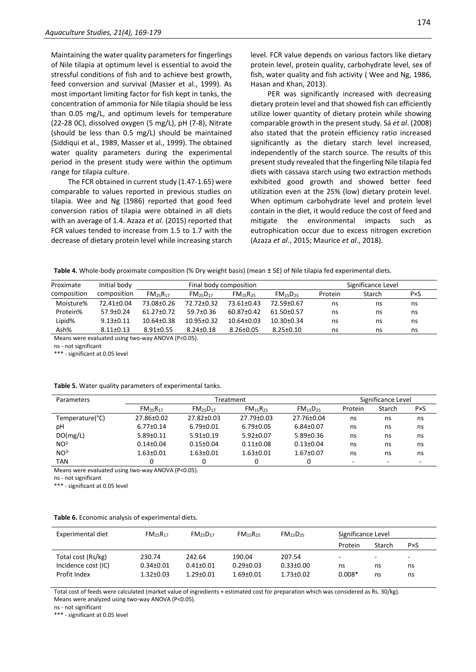Maintaining the water quality parameters for fingerlings of Nile tilapia at optimum level is essential to avoid the stressful conditions of fish and to achieve best growth, feed conversion and survival (Masser et al., 1999). As most important limiting factor for fish kept in tanks, the concentration of ammonia for Nile tilapia should be less than 0.05 mg/L, and optimum levels for temperature (22-28 0C), dissolved oxygen (5 mg/L), pH (7-8), Nitrate (should be less than 0.5 mg/L) should be maintained (Siddiqui et al., 1989, Masser et al., 1999). The obtained water quality parameters during the experimental period in the present study were within the optimum range for tilapia culture.

The FCR obtained in current study (1.47-1.65) were comparable to values reported in previous studies on tilapia. Wee and Ng (1986) reported that good feed conversion ratios of tilapia were obtained in all diets with an average of 1.4. Azaza *et al*. (2015) reported that FCR values tended to increase from 1.5 to 1.7 with the decrease of dietary protein level while increasing starch level. FCR value depends on various factors like dietary protein level, protein quality, carbohydrate level, sex of fish, water quality and fish activity ( Wee and Ng, 1986, Hasan and Khan, 2013).

PER was significantly increased with decreasing dietary protein level and that showed fish can efficiently utilize lower quantity of dietary protein while showing comparable growth in the present study. Sá *et al*. (2008) also stated that the protein efficiency ratio increased significantly as the dietary starch level increased, independently of the starch source. The results of this present study revealed that the fingerling Nile tilapia fed diets with cassava starch using two extraction methods exhibited good growth and showed better feed utilization even at the 25% (low) dietary protein level. When optimum carbohydrate level and protein level contain in the diet, it would reduce the cost of feed and mitigate the environmental impacts such as eutrophication occur due to excess nitrogen excretion (Azaza *et al*., 2015; Maurice *et al*., 2018).

**Table 4.** Whole-body proximate composition (% Dry weight basis) (mean ± SE) of Nile tilapia fed experimental diets.

| Proximate   | Initial body    |                                  |                                  | Final body composition           |                                  | Significance Level |        |             |  |
|-------------|-----------------|----------------------------------|----------------------------------|----------------------------------|----------------------------------|--------------------|--------|-------------|--|
| composition | composition     | FM <sub>25</sub> R <sub>17</sub> | FM <sub>25</sub> D <sub>17</sub> | FM <sub>15</sub> R <sub>25</sub> | FM <sub>15</sub> D <sub>25</sub> | Protein            | Starch | $P\times S$ |  |
| Moisture%   | 72.41±0.04      | 73.08±0.26                       | 72.72±0.32                       | 73.61±0.43                       | 72.59±0.67                       | ns                 | ns     | ns          |  |
| Protein%    | $57.9 \pm 0.24$ | $61.27 \pm 0.72$                 | 59.7±0.36                        | 60.87±0.42                       | 61.50±0.57                       | ns                 | ns     | ns          |  |
| Lipid%      | $9.13 \pm 0.11$ | $10.64 \pm 0.38$                 | $10.95 \pm 0.32$                 | $10.64 \pm 0.03$                 | $10.30 \pm 0.34$                 | ns                 | ns     | ns          |  |
| Ash%        | $8.11 \pm 0.13$ | $8.91 \pm 0.55$                  | $8.24 \pm 0.18$                  | $8.26 \pm 0.05$                  | $8.25 \pm 0.10$                  | ns                 | ns     | ns          |  |

Means were evaluated using two-way ANOVA (P<0.05).

ns - not significant

\*\*\* - significant at 0.05 level

|  |  |  | Table 5. Water quality parameters of experimental tanks. |  |
|--|--|--|----------------------------------------------------------|--|
|--|--|--|----------------------------------------------------------|--|

| Parameters      | Treatment                        |                                  |                                  |                                  |         | Significance Level |             |
|-----------------|----------------------------------|----------------------------------|----------------------------------|----------------------------------|---------|--------------------|-------------|
|                 | FM <sub>25</sub> R <sub>17</sub> | FM <sub>25</sub> D <sub>17</sub> | FM <sub>15</sub> R <sub>25</sub> | FM <sub>15</sub> D <sub>25</sub> | Protein | Starch             | $P\times S$ |
| Temperature(°C) | 27.86±0.02                       | 27.82±0.03                       | 27.79±0.03                       | 27.76±0.04                       | ns      | ns                 | ns          |
| pH              | $6.77 \pm 0.14$                  | $6.79 \pm 0.01$                  | $6.79 \pm 0.05$                  | $6.84 \pm 0.07$                  | ns      | ns                 | ns          |
| DO(mg/L)        | $5.89 \pm 0.11$                  | $5.91 \pm 0.19$                  | $5.92 \pm 0.07$                  | $5.89 \pm 0.36$                  | ns      | ns                 | ns          |
| NO <sup>2</sup> | $0.14 \pm 0.04$                  | $0.15 \pm 0.04$                  | $0.11 \pm 0.08$                  | $0.13 \pm 0.04$                  | ns      | ns                 | ns          |
| NO <sup>3</sup> | $1.63 \pm 0.01$                  | $1.63 \pm 0.01$                  | $1.63 \pm 0.01$                  | $1.67 \pm 0.07$                  | ns      | ns                 | ns          |
| <b>TAN</b>      |                                  |                                  | 0                                |                                  | ٠       | -                  |             |

Means were evaluated using two-way ANOVA (P<0.05).

ns - not significant

\*\*\* - significant at 0.05 level

#### **Table 6.** Economic analysis of experimental diets.

| Experimental diet   | $FM_{25}R_{17}$ | $FM_{25}D_{17}$ | FM <sub>15</sub> R <sub>25</sub> | FM <sub>15</sub> D <sub>25</sub> | Significance Level |                          |                |
|---------------------|-----------------|-----------------|----------------------------------|----------------------------------|--------------------|--------------------------|----------------|
|                     |                 |                 |                                  |                                  | Protein            | Starch                   | P×S            |
| Total cost (Rs/kg)  | 230.74          | 242.64          | 190.04                           | 207.54                           | -                  | $\overline{\phantom{a}}$ | $\overline{a}$ |
| Incidence cost (IC) | $0.34 \pm 0.01$ | $0.41 \pm 0.01$ | $0.29 \pm 0.03$                  | $0.33 \pm 0.00$                  | ns                 | ns                       | ns             |
| Profit Index        | $1.32 \pm 0.03$ | $1.29 \pm 0.01$ | $1.69 \pm 0.01$                  | $1.73 \pm 0.02$                  | $0.008*$           | ns                       | ns             |

Total cost of feeds were calculated (market value of ingredients + estimated cost for preparation which was considered as Rs. 30/kg). Means were analyzed using two-way ANOVA (P<0.05).

ns - not significant

\*\*\* - significant at 0.05 level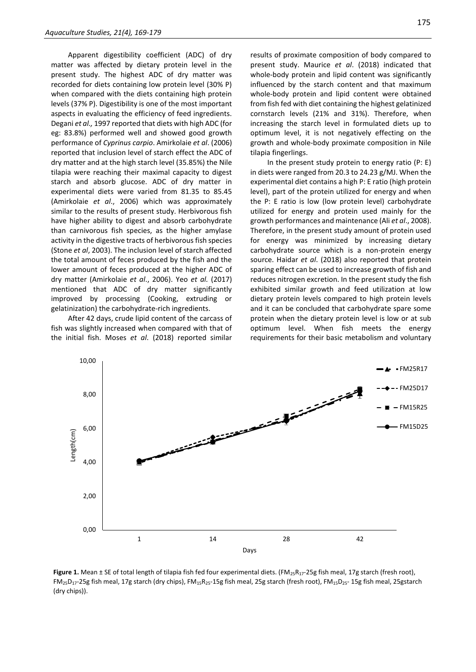Apparent digestibility coefficient (ADC) of dry matter was affected by dietary protein level in the present study. The highest ADC of dry matter was recorded for diets containing low protein level (30% P) when compared with the diets containing high protein levels (37% P). Digestibility is one of the most important aspects in evaluating the efficiency of feed ingredients. Degani *et al.,* 1997 reported that diets with high ADC (for eg: 83.8%) performed well and showed good growth performance of *Cyprinus carpio*. Amirkolaie *et al*. (2006) reported that inclusion level of starch effect the ADC of dry matter and at the high starch level (35.85%) the Nile tilapia were reaching their maximal capacity to digest starch and absorb glucose. ADC of dry matter in experimental diets were varied from 81.35 to 85.45 (Amirkolaie *et al*., 2006) which was approximately similar to the results of present study. Herbivorous fish have higher ability to digest and absorb carbohydrate than carnivorous fish species, as the higher amylase activity in the digestive tracts of herbivorous fish species (Stone *et al*, 2003). The inclusion level of starch affected the total amount of feces produced by the fish and the lower amount of feces produced at the higher ADC of dry matter (Amirkolaie *et al*., 2006). Yeo *et al.* (2017) mentioned that ADC of dry matter significantly improved by processing (Cooking, extruding or gelatinization) the carbohydrate-rich ingredients.

After 42 days, crude lipid content of the carcass of fish was slightly increased when compared with that of the initial fish. Moses *et al*. (2018) reported similar

results of proximate composition of body compared to present study. Maurice *et al*. (2018) indicated that whole-body protein and lipid content was significantly influenced by the starch content and that maximum whole-body protein and lipid content were obtained from fish fed with diet containing the highest gelatinized cornstarch levels (21% and 31%). Therefore, when increasing the starch level in formulated diets up to optimum level, it is not negatively effecting on the growth and whole-body proximate composition in Nile tilapia fingerlings.

In the present study protein to energy ratio (P: E) in diets were ranged from 20.3 to 24.23 g/MJ. When the experimental diet contains a high P: E ratio (high protein level), part of the protein utilized for energy and when the P: E ratio is low (low protein level) carbohydrate utilized for energy and protein used mainly for the growth performances and maintenance (Ali *et al*., 2008). Therefore, in the present study amount of protein used for energy was minimized by increasing dietary carbohydrate source which is a non-protein energy source. Haidar *et al*. (2018) also reported that protein sparing effect can be used to increase growth of fish and reduces nitrogen excretion. In the present study the fish exhibited similar growth and feed utilization at low dietary protein levels compared to high protein levels and it can be concluded that carbohydrate spare some protein when the dietary protein level is low or at sub optimum level. When fish meets the energy requirements for their basic metabolism and voluntary



Figure 1. Mean ± SE of total length of tilapia fish fed four experimental diets. (FM<sub>25</sub>R<sub>17</sub>-25g fish meal, 17g starch (fresh root), FM25D17-25g fish meal, 17g starch (dry chips), FM15R25-15g fish meal, 25g starch (fresh root), FM15D25- 15g fish meal, 25gstarch (dry chips)).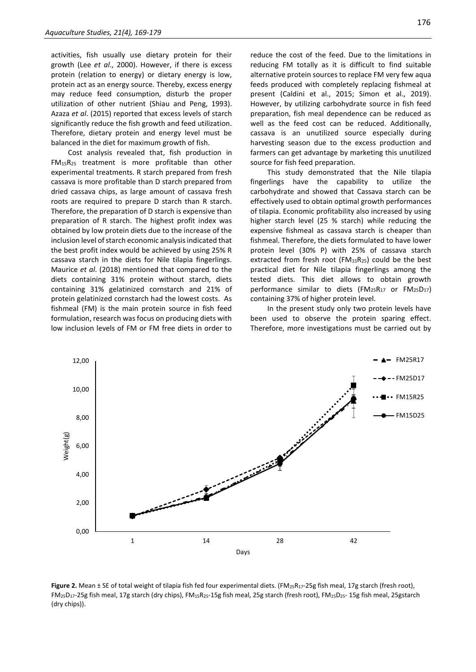activities, fish usually use dietary protein for their growth (Lee *et al*., 2000). However, if there is excess protein (relation to energy) or dietary energy is low, protein act as an energy source. Thereby, excess energy may reduce feed consumption, disturb the proper utilization of other nutrient (Shiau and Peng, 1993). Azaza *et al*. (2015) reported that excess levels of starch significantly reduce the fish growth and feed utilization. Therefore, dietary protein and energy level must be balanced in the diet for maximum growth of fish.

Cost analysis revealed that, fish production in FM15R<sup>25</sup> treatment is more profitable than other experimental treatments. R starch prepared from fresh cassava is more profitable than D starch prepared from dried cassava chips, as large amount of cassava fresh roots are required to prepare D starch than R starch. Therefore, the preparation of D starch is expensive than preparation of R starch. The highest profit index was obtained by low protein diets due to the increase of the inclusion level of starch economic analysis indicated that the best profit index would be achieved by using 25% R cassava starch in the diets for Nile tilapia fingerlings. Maurice *et al*. (2018) mentioned that compared to the diets containing 31% protein without starch, diets containing 31% gelatinized cornstarch and 21% of protein gelatinized cornstarch had the lowest costs. As fishmeal (FM) is the main protein source in fish feed formulation, research was focus on producing diets with low inclusion levels of FM or FM free diets in order to

reduce the cost of the feed. Due to the limitations in reducing FM totally as it is difficult to find suitable alternative protein sources to replace FM very few aqua feeds produced with completely replacing fishmeal at present (Caldini et al., 2015; Simon et al., 2019). However, by utilizing carbohydrate source in fish feed preparation, fish meal dependence can be reduced as well as the feed cost can be reduced. Additionally, cassava is an unutilized source especially during harvesting season due to the excess production and farmers can get advantage by marketing this unutilized source for fish feed preparation.

This study demonstrated that the Nile tilapia fingerlings have the capability to utilize the carbohydrate and showed that Cassava starch can be effectively used to obtain optimal growth performances of tilapia. Economic profitability also increased by using higher starch level (25 % starch) while reducing the expensive fishmeal as cassava starch is cheaper than fishmeal. Therefore, the diets formulated to have lower protein level (30% P) with 25% of cassava starch extracted from fresh root ( $FM_{15}R_{25}$ ) could be the best practical diet for Nile tilapia fingerlings among the tested diets. This diet allows to obtain growth performance similar to diets (FM25R<sup>17</sup> or FM25D17) containing 37% of higher protein level.

In the present study only two protein levels have been used to observe the protein sparing effect. Therefore, more investigations must be carried out by



Figure 2. Mean ± SE of total weight of tilapia fish fed four experimental diets. (FM<sub>25</sub>R<sub>17</sub>-25g fish meal, 17g starch (fresh root),  $FM_{25}D_{17}$ -25g fish meal, 17g starch (dry chips), FM<sub>15</sub>R<sub>25</sub>-15g fish meal, 25g starch (fresh root), FM<sub>15</sub>D<sub>25</sub>- 15g fish meal, 25gstarch (dry chips)).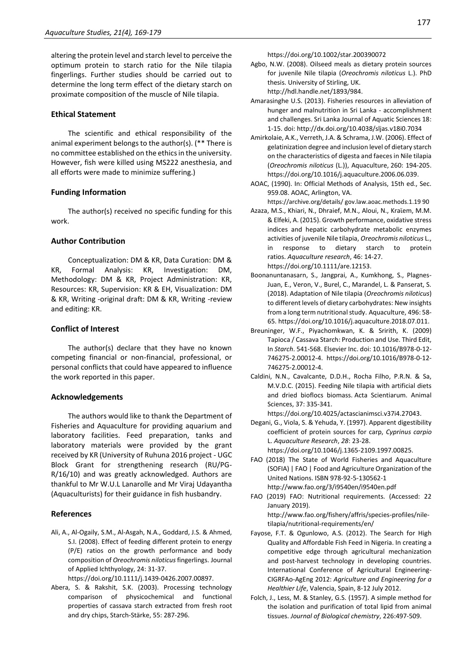altering the protein level and starch level to perceive the optimum protein to starch ratio for the Nile tilapia fingerlings. Further studies should be carried out to determine the long term effect of the dietary starch on proximate composition of the muscle of Nile tilapia.

# **Ethical Statement**

The scientific and ethical responsibility of the animal experiment belongs to the author(s). (\*\* There is no committee established on the ethics in the university. However, fish were killed using MS222 anesthesia, and all efforts were made to minimize suffering.)

# **Funding Information**

The author(s) received no specific funding for this work.

# **Author Contribution**

Conceptualization: DM & KR, Data Curation: DM & KR, Formal Analysis: KR, Investigation: DM, Methodology: DM & KR, Project Administration: KR, Resources: KR, Supervision: KR & EH, Visualization: DM & KR, Writing -original draft: DM & KR, Writing -review and editing: KR.

# **Conflict of Interest**

The author(s) declare that they have no known competing financial or non-financial, professional, or personal conflicts that could have appeared to influence the work reported in this paper.

# **Acknowledgements**

The authors would like to thank the Department of Fisheries and Aquaculture for providing aquarium and laboratory facilities. Feed preparation, tanks and laboratory materials were provided by the grant received by KR (University of Ruhuna 2016 project - UGC Block Grant for strengthening research (RU/PG-R/16/10) and was greatly acknowledged. Authors are thankful to Mr W.U.L Lanarolle and Mr Viraj Udayantha (Aquaculturists) for their guidance in fish husbandry.

# **References**

Ali, A., Al‐Ogaily, S.M., Al‐Asgah, N.A., Goddard, J.S. & Ahmed, S.I. (2008). Effect of feeding different protein to energy (P/E) ratios on the growth performance and body composition of *Oreochromis niloticus*fingerlings. Journal of Applied Ichthyology, 24: 31-37.

https://doi.org/10.1111/j.1439-0426.2007.00897.

Abera, S. & Rakshit, S.K. (2003). Processing technology comparison of physicochemical and functional properties of cassava starch extracted from fresh root and dry chips, Starch‐Stärke, 55: 287-296.

https://doi.org/10.1002/star.200390072

- Agbo, N.W. (2008). Oilseed meals as dietary protein sources for juvenile Nile tilapia (*Oreochromis niloticus* L.). PhD thesis. University of Stirling, UK. http://hdl.handle.net/1893/984.
- Amarasinghe U.S. (2013). Fisheries resources in alleviation of hunger and malnutrition in Sri Lanka - accomplishment and challenges. Sri Lanka Journal of Aquatic Sciences 18: 1-15. doi: http://dx.doi.org/10.4038/sljas.v18i0.7034
- Amirkolaie, A.K., Verreth, J.A. & Schrama, J.W. (2006). Effect of gelatinization degree and inclusion level of dietary starch on the characteristics of digesta and faeces in Nile tilapia (*Oreochromis niloticus* (L.)), Aquaculture, 260: 194-205. https://doi.org/10.1016/j.aquaculture.2006.06.039.
- AOAC, (1990). In: Official Methods of Analysis, 15th ed., Sec. 959.08. AOAC, Arlington, VA.

https://archive.org/details/ gov.law.aoac.methods.1.19 90

- Azaza, M.S., Khiari, N., Dhraief, M.N., Aloui, N., Kraϊem, M.M. & Elfeki, A. (2015). Growth performance, oxidative stress indices and hepatic carbohydrate metabolic enzymes activities of juvenile Nile tilapia, *Oreochromis niloticus* L., in response to dietary starch to protein ratios. *Aquaculture research*, 46: 14-27. https://doi.org/10.1111/are.12153.
- Boonanuntanasarn, S., Jangprai, A., Kumkhong, S., Plagnes-Juan, E., Veron, V., Burel, C., Marandel, L. & Panserat, S. (2018). Adaptation of Nile tilapia (*Oreochromis niloticus*) to different levels of dietary carbohydrates: New insights from a long term nutritional study. Aqua*c*ulture, 496: 58- 65. https://doi.org/10.1016/j.aquaculture.2018.07.011.
- Breuninger, W.F., Piyachomkwan, K. & Sririth, K. (2009) Tapioca / Cassava Starch: Production and Use. Third Edit, In *Starch*. 541-568. Elsevier Inc. doi: 10.1016/B978-0-12- 746275-2.00012-4. https://doi.org/10.1016/B978-0-12- 746275-2.00012-4.
- Caldini, N.N., Cavalcante, D.D.H., Rocha Filho, P.R.N. & Sa, M.V.D.C. (2015). Feeding Nile tilapia with artificial diets and dried bioflocs biomass. Acta Scientiarum. Animal Sciences, 37: 335-341.

https://doi.org/10.4025/actascianimsci.v37i4.27043.

Degani, G., Viola, S. & Yehuda, Y. (1997). Apparent digestibility coefficient of protein sources for carp, *Cyprinus carpio* L. *Aquaculture Research*, *28*: 23-28. https://doi.org/10.1046/j.1365-2109.1997.00825.

FAO (2018) The State of World Fisheries and Aquaculture (SOFIA) | FAO | Food and Agriculture Organization of the United Nations. ISBN 978-92-5-130562-1

- http://www.fao.org/3/i9540en/i9540en.pdf
- FAO (2019) FAO: Nutritional requirements. (Accessed: 22 January 2019). http://www.fao.org/fishery/affris/species-profiles/niletilapia/nutritional-requirements/en/
- Fayose, F.T. & Ogunlowo, A.S. (2012). The Search for High Quality and Affordable Fish Feed in Nigeria. In creating a competitive edge through agricultural mechanization and post-harvest technology in developing countries. International Conference of Agricultural Engineering-CIGRFAo-AgEng 2012: *Agriculture and Engineering for a Healthier Life*, Valencia, Spain, 8-12 July 2012.
- Folch, J., Less, M. & Stanley, G.S. (1957). A simple method for the isolation and purification of total lipid from animal tissues. *Journal of Biological chemistry*, 226:497-509.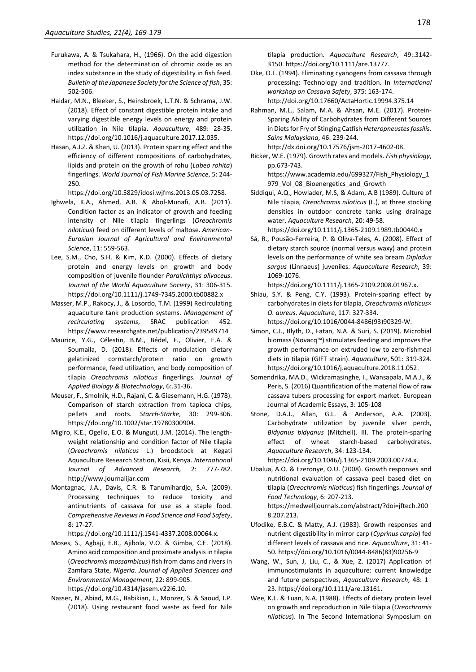- Furukawa, A. & Tsukahara, H., (1966). On the acid digestion method for the determination of chromic oxide as an index substance in the study of digestibility in fish feed. *Bulletin of the Japanese Society for the Science of fish*, 35: 502-506.
- Haidar, M.N., Bleeker, S., Heinsbroek, L.T.N. & Schrama, J.W. (2018). Effect of constant digestible protein intake and varying digestible energy levels on energy and protein utilization in Nile tilapia. *Aquaculture*, 489: 28-35. https://doi.org/10.1016/j.aquaculture.2017.12.035.
- Hasan, A.J.Z. & Khan, U. (2013). Protein sparring effect and the efficiency of different compositions of carbohydrates, lipids and protein on the growth of rohu (*Labeo rohita*) fingerlings. *World Journal of Fish Marine Science*, 5: 244- 250.

https://doi.org/10.5829/idosi.wjfms.2013.05.03.7258.

- Ighwela, K.A., Ahmed, A.B. & Abol-Munafi, A.B. (2011). Condition factor as an indicator of growth and feeding intensity of Nile tilapia fingerlings (*Oreochromis niloticus*) feed on different levels of maltose. *American-Eurasian Journal of Agricultural and Environmental Science*, 11: 559-563.
- Lee, S.M., Cho, S.H. & Kim, K.D. (2000). Effects of dietary protein and energy levels on growth and body composition of juvenile flounder *Paralichthys olivaceus*. *Journal of the World Aquaculture Society*, 31: 306-315. https://doi.org/10.1111/j.1749-7345.2000.tb00882.x
- Masser, M.P., Rakocy, J., & Losordo, T.M. (1999) Recirculating aquaculture tank production systems. *Management of recirculating systems*, SRAC publication 452. https://www.researchgate.net/publication/239549714
- Maurice, Y.G., Célestin, B.M., Bédel, F., Olivier, E.A. & Soumaila, D. (2018). Effects of modulation dietary gelatinized cornstarch/protein ratio on growth performance, feed utilization, and body composition of tilapia *Oreochromis niloticus* fingerlings. *Journal of Applied Biology & Biotechnology*, 6:.31-36.
- Meuser, F., Smolnik, H.D., Rajani, C. & Giesemann, H.G. (1978). Comparison of starch extraction from tapioca chips, pellets and roots. *Starch‐Stärke*, 30: 299-306. https://doi.org/10.1002/star.19780300904.
- Migiro, K.E., Ogello, E.O. & Munguti, J.M. (2014). The lengthweight relationship and condition factor of Nile tilapia (*Oreochromis niloticus* L.) broodstock at Kegati Aquaculture Research Station, Kisii, Kenya. *International Journal of Advanced Research,* 2: 777-782. http://www.journalijar.com
- Montagnac, J.A., Davis, C.R. & Tanumihardjo, S.A. (2009). Processing techniques to reduce toxicity and antinutrients of cassava for use as a staple food. *Comprehensive Reviews in Food Science and Food Safety*, 8: 17-27.

https://doi.org/10.1111/j.1541-4337.2008.00064.x.

- Moses, S., Agbaji, E.B., Ajibola, V.O. & Gimba, C.E. (2018). Amino acid composition and proximate analysis in tilapia (*Oreochromis mossambicus*) fish from dams and rivers in Zamfara State, *Nigeria. Journal of Applied Sciences and Environmental Management*, 22: 899-905. https://doi.org/10.4314/jasem.v22i6.10.
- Nasser, N., Abiad, M.G., Babikian, J., Monzer, S. & Saoud, I.P. (2018). Using restaurant food waste as feed for Nile

tilapia production. *Aquaculture Research*, 49:.3142- 3150. https://doi.org/10.1111/are.13777.

- Oke, O.L. (1994). Eliminating cyanogens from cassava through processing: Technology and tradition. In *International workshop on Cassava Safety*, 375: 163-174. http://doi.org/10.17660/ActaHortic.19994.375.14
- Rahman, M.L., Salam, M.A. & Ahsan, M.E. (2017). Protein-Sparing Ability of Carbohydrates from Different Sources in Diets for Fry of Stinging Catfish *Heteropneustes fossilis. Sains Malaysiana*, 46: 239-244.
- http://dx.doi.org/10.17576/jsm-2017-4602-08. Ricker, W.E. (1979). Growth rates and models. *Fish physiology*, pp.673-743. https://www.academia.edu/699327/Fish\_Physiology\_1 979\_Vol\_08\_Bioenergetics\_and\_Growth
- Siddiqui, A.Q., Howlader, M.S, & Adam, A.B (1989). Culture of Nile tilapia, *Oreochromis niloticus* (L.), at three stocking densities in outdoor concrete tanks using drainage water, *Aquaculture Research*, 20: 49-58. https://doi.org/10.1111/j.1365-2109.1989.tb00440.x
- Sá, R., Pousão‐Ferreira, P. & Oliva‐Teles, A. (2008). Effect of dietary starch source (normal versus waxy) and protein levels on the performance of white sea bream *Diplodus sargus* (Linnaeus) juveniles. *Aquaculture Research*, 39: 1069-1076.

https://doi.org/10.1111/j.1365-2109.2008.01967.x.

- Shiau, S.Y. & Peng, C.Y. (1993). Protein-sparing effect by carbohydrates in diets for tilapia, *Oreochromis niloticus*× *O. aureus*. *Aquaculture*, 117: 327-334. https://doi.org/10.1016/0044-8486(93)90329-W.
- Simon, C.J., Blyth, D., Fatan, N.A. & Suri, S. (2019). Microbial biomass (Novacq™) stimulates feeding and improves the growth performance on extruded low to zero-fishmeal diets in tilapia (GIFT strain). *Aquaculture*, 501: 319-324. https://doi.org/10.1016/j.aquaculture.2018.11.052.
- Somendrika, MA.D., Wickramasinghe, I., Wansapala, M.A.J., & Peris, S. (2016) Quantification of the material flow of raw cassava tubers processing for export market. European Journal of Academic Essays, 3: 105-108
- Stone, D.A.J., Allan, G.L. & Anderson, A.A. (2003). Carbohydrate utilization by juvenile silver perch, *Bidyanus bidyanus* (Mitchell). III. The protein‐sparing effect of wheat starch‐based carbohydrates. *Aquaculture Research*, 34: 123-134.

https://doi.org/10.1046/j.1365-2109.2003.00774.x.

Ubalua, A.O. & Ezeronye, O.U. (2008). Growth responses and nutritional evaluation of cassava peel based diet on tilapia (*Oreochromis niloticus*) fish fingerlings. *Journal of Food Technology*, 6: 207-213.

https://medwelljournals.com/abstract/?doi=jftech.200 8.207.213.

- Ufodike, E.B.C. & Matty, A.J. (1983). Growth responses and nutrient digestibility in mirror carp (*Cyprinus carpio*) fed different levels of cassava and rice. *Aquaculture*, 31: 41- 50. https://doi.org/10.1016/0044-8486(83)90256-9
- Wang, W., Sun, J, Liu, C., & Xue, Z. (2017) Application of immunostimulants in aquaculture: current knowledge and future perspectives, *Aquaculture Research*, 48: 1– 23. https://doi.org/10.1111/are.13161.
- Wee, K.L. & Tuan, N.A. (1988). Effects of dietary protein level on growth and reproduction in Nile tilapia (*Oreochromis niloticus*). In The Second International Symposium on